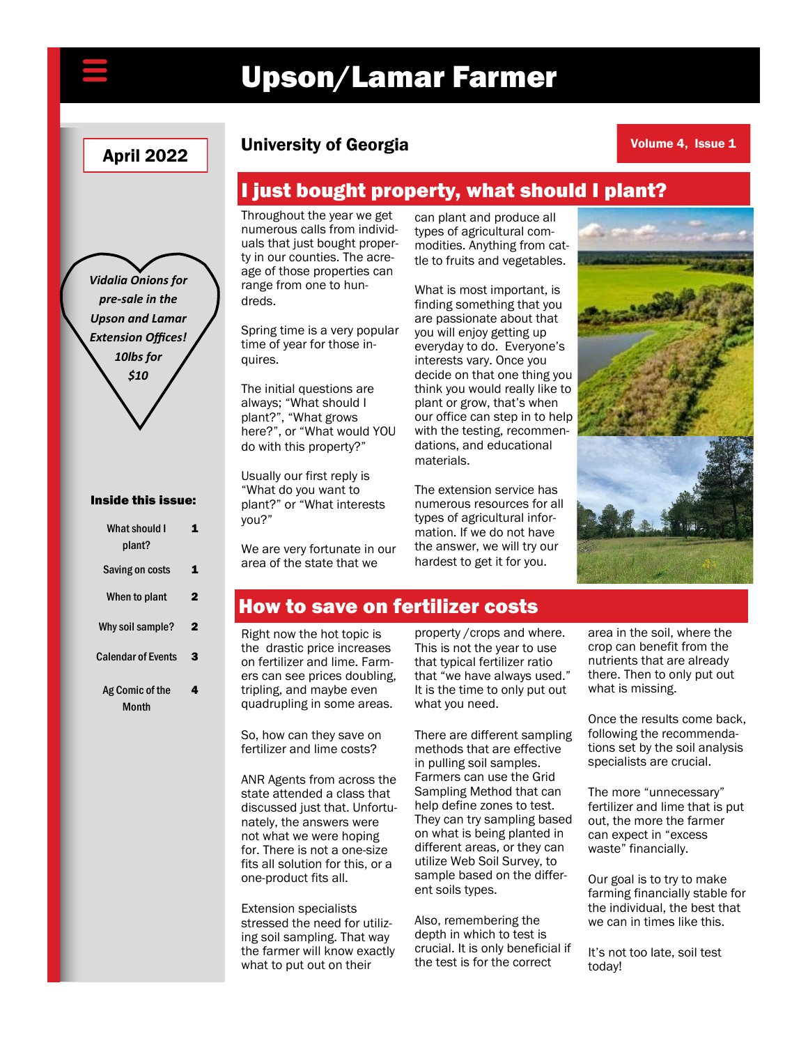# Upson/Lamar Farmer

## **April 2022** University of Georgia

Volume 4, Issue 1

### I just bought property, what should I plant?

Throughout the year we get numerous calls from individuals that just bought property in our counties. The acreage of those properties can range from one to hundreds.

Spring time is a very popular time of year for those inquires.

The initial questions are always; "What should I plant?", "What grows here?", or "What would YOU do with this property?"

Usually our first reply is "What do you want to plant?" or "What interests you?"

We are very fortunate in our area of the state that we

can plant and produce all types of agricultural commodities. Anything from cattle to fruits and vegetables.

What is most important, is finding something that you are passionate about that you will enjoy getting up everyday to do. Everyone's interests vary. Once you decide on that one thing you think you would really like to plant or grow, that's when our office can step in to help with the testing, recommendations, and educational materials.

The extension service has numerous resources for all types of agricultural information. If we do not have the answer, we will try our hardest to get it for you.



#### How to save on fertilizer costs

Right now the hot topic is the drastic price increases on fertilizer and lime. Farmers can see prices doubling, tripling, and maybe even quadrupling in some areas.

So, how can they save on fertilizer and lime costs?

ANR Agents from across the state attended a class that discussed just that. Unfortunately, the answers were not what we were hoping for. There is not a one-size fits all solution for this, or a one-product fits all.

Extension specialists stressed the need for utilizing soil sampling. That way the farmer will know exactly what to put out on their

property /crops and where. This is not the year to use that typical fertilizer ratio that "we have always used." It is the time to only put out what you need.

There are different sampling methods that are effective in pulling soil samples. Farmers can use the Grid Sampling Method that can help define zones to test. They can try sampling based on what is being planted in different areas, or they can utilize Web Soil Survey, to sample based on the different soils types.

Also, remembering the depth in which to test is crucial. It is only beneficial if the test is for the correct

area in the soil, where the crop can benefit from the nutrients that are already there. Then to only put out what is missing.

Once the results come back, following the recommendations set by the soil analysis specialists are crucial.

The more "unnecessary" fertilizer and lime that is put out, the more the farmer can expect in "excess waste" financially.

Our goal is to try to make farming financially stable for the individual, the best that we can in times like this.

It's not too late, soil test today!

*Vidalia Onions for pre-sale in the Upson and Lamar Extension Offices! 10lbs for \$10*

#### Inside this issue:

| What should I<br>plant?   |   |
|---------------------------|---|
| Saving on costs           |   |
| When to plant             | 2 |
| Why soil sample?          | 2 |
| <b>Calendar of Events</b> | 3 |
| Ag Comic of the<br>Month  |   |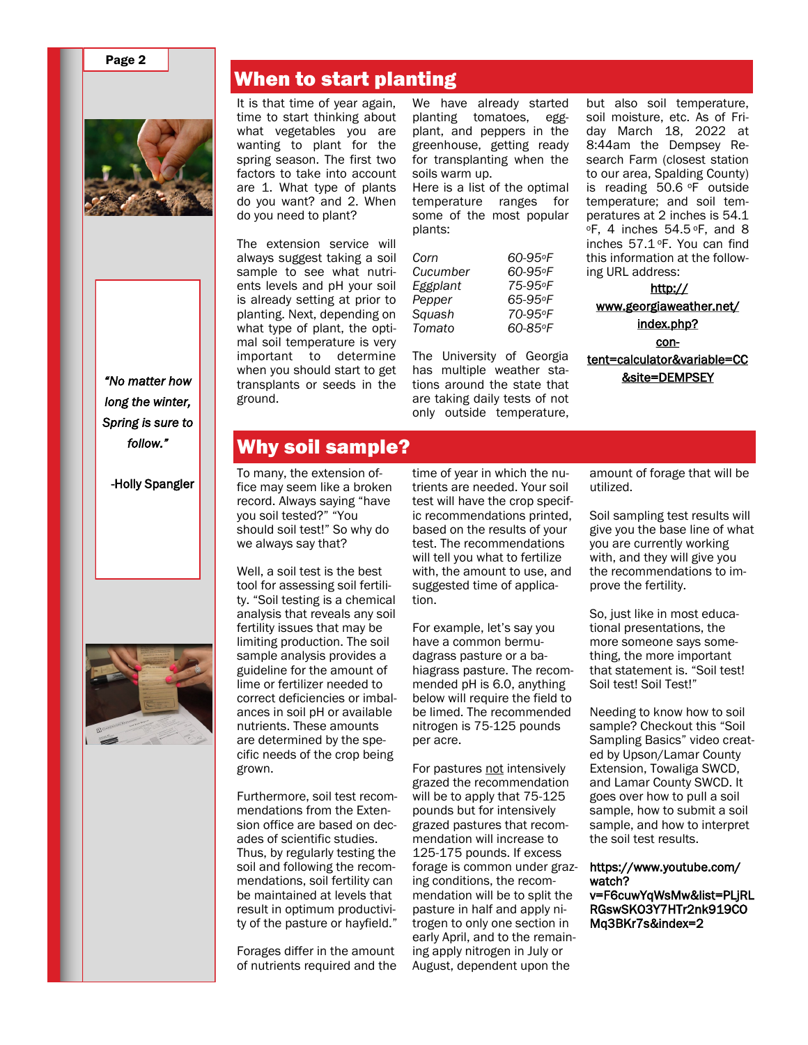#### Page 2



*"No matter how long the winter, Spring is sure to follow."* 

-Holly Spangler



#### When to start planting

It is that time of year again, time to start thinking about what vegetables you are wanting to plant for the spring season. The first two factors to take into account are 1. What type of plants do you want? and 2. When do you need to plant?

The extension service will always suggest taking a soil sample to see what nutrients levels and pH your soil is already setting at prior to planting. Next, depending on what type of plant, the optimal soil temperature is very important to determine when you should start to get transplants or seeds in the ground.

We have already started planting tomatoes, eggplant, and peppers in the greenhouse, getting ready for transplanting when the soils warm up.

Here is a list of the optimal temperature ranges for some of the most popular plants:

| Corn     | 60-95°F |
|----------|---------|
| Cucumber | 60-95°F |
| Eggplant | 75-95°F |
| Pepper   | 65-95°F |
| Squash   | 70-95°F |
| Tomato   | 60-85°F |
|          |         |

The University of Georgia has multiple weather stations around the state that are taking daily tests of not only outside temperature,

but also soil temperature, soil moisture, etc. As of Friday March 18, 2022 at 8:44am the Dempsey Research Farm (closest station to our area, Spalding County) is reading 50.6 °F outside temperature; and soil temperatures at 2 inches is 54.1  $\circ$ F, 4 inches 54.5 $\circ$ F, and 8 inches 57.1 <sup>o</sup>F. You can find this information at the following URL address:

[http://](http://www.georgiaweather.net/index.php?content=calculator&variable=CC&site=DEMPSEY) [www.georgiaweather.net/](http://www.georgiaweather.net/index.php?content=calculator&variable=CC&site=DEMPSEY) [index.php?](http://www.georgiaweather.net/index.php?content=calculator&variable=CC&site=DEMPSEY) [con](http://www.georgiaweather.net/index.php?content=calculator&variable=CC&site=DEMPSEY)[tent=calculator&variable=CC](http://www.georgiaweather.net/index.php?content=calculator&variable=CC&site=DEMPSEY) [&site=DEMPSEY](http://www.georgiaweather.net/index.php?content=calculator&variable=CC&site=DEMPSEY)

#### Why soil sample?

To many, the extension office may seem like a broken record. Always saying "have you soil tested?" "You should soil test!" So why do we always say that?

Well, a soil test is the best tool for assessing soil fertility. "Soil testing is a chemical analysis that reveals any soil fertility issues that may be limiting production. The soil sample analysis provides a guideline for the amount of lime or fertilizer needed to correct deficiencies or imbalances in soil pH or available nutrients. These amounts are determined by the specific needs of the crop being grown.

Furthermore, soil test recommendations from the Extension office are based on decades of scientific studies. Thus, by regularly testing the soil and following the recommendations, soil fertility can be maintained at levels that result in optimum productivity of the pasture or hayfield."

Forages differ in the amount of nutrients required and the time of year in which the nutrients are needed. Your soil test will have the crop specific recommendations printed, based on the results of your test. The recommendations will tell you what to fertilize with, the amount to use, and suggested time of application.

For example, let's say you have a common bermudagrass pasture or a bahiagrass pasture. The recommended pH is 6.0, anything below will require the field to be limed. The recommended nitrogen is 75-125 pounds per acre.

For pastures not intensively grazed the recommendation will be to apply that 75-125 pounds but for intensively grazed pastures that recommendation will increase to 125-175 pounds. If excess forage is common under grazing conditions, the recommendation will be to split the pasture in half and apply nitrogen to only one section in early April, and to the remaining apply nitrogen in July or August, dependent upon the

amount of forage that will be utilized.

Soil sampling test results will give you the base line of what you are currently working with, and they will give you the recommendations to improve the fertility.

So, just like in most educational presentations, the more someone says something, the more important that statement is. "Soil test! Soil test! Soil Test!"

Needing to know how to soil sample? Checkout this "Soil Sampling Basics" video created by Upson/Lamar County Extension, Towaliga SWCD, and Lamar County SWCD. It goes over how to pull a soil sample, how to submit a soil sample, and how to interpret the soil test results.

https://www.youtube.com/ watch? v=F6cuwYqWsMw&list=PLjRL RGswSKO3Y7HTr2nk919CO Mq3BKr7s&index=2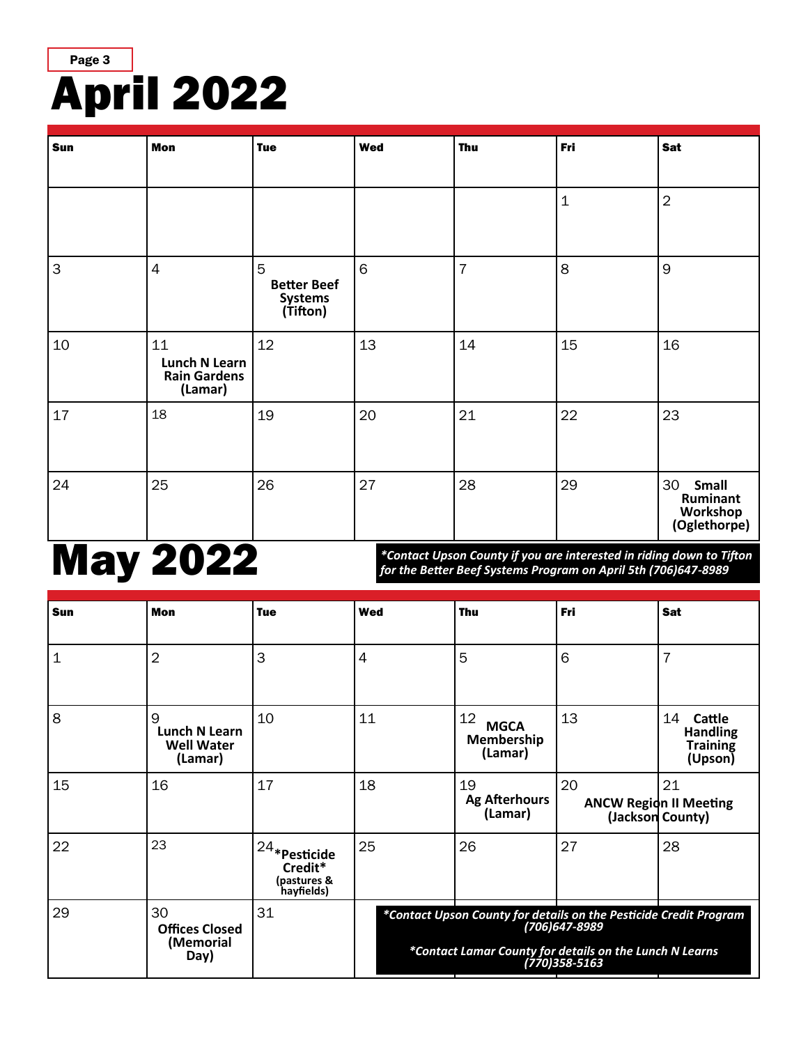

| Sun          | <b>Mon</b>                                                   | <b>Tue</b>                                     | <b>Wed</b> | <b>Thu</b>     | Fri              | <b>Sat</b>                                                 |
|--------------|--------------------------------------------------------------|------------------------------------------------|------------|----------------|------------------|------------------------------------------------------------|
|              |                                                              |                                                |            |                | $\mathbf{1}$     | $\overline{2}$                                             |
| $\mathsf{3}$ | $\overline{4}$                                               | 5<br><b>Better Beef</b><br>Systems<br>(Tifton) | $\,$ 6     | $\overline{7}$ | $\boldsymbol{8}$ | 9                                                          |
| 10           | 11<br><b>Lunch N Learn</b><br><b>Rain Gardens</b><br>(Lamar) | 12                                             | 13         | 14             | 15               | 16                                                         |
| 17           | 18                                                           | 19                                             | 20         | 21             | 22               | 23                                                         |
| 24           | 25                                                           | 26                                             | 27         | 28             | 29               | 30<br><b>Small</b><br>Ruminant<br>Workshop<br>(Oglethorpe) |

# May 2022

*\*Contact Upson County if you are interested in riding down to Tifton for the Better Beef Systems Program on April 5th (706)647-8989*

| Sun            | <b>Mon</b>                                         | <b>Tue</b>                                             | Wed                                                                                                                                                           | <b>Thu</b>                                 | Fri | Sat                                                                  |
|----------------|----------------------------------------------------|--------------------------------------------------------|---------------------------------------------------------------------------------------------------------------------------------------------------------------|--------------------------------------------|-----|----------------------------------------------------------------------|
| $\overline{1}$ | $\overline{2}$                                     | 3                                                      | $\overline{4}$                                                                                                                                                | 5                                          | 6   | 7                                                                    |
| $\overline{8}$ | 9<br>Lunch N Learn<br><b>Well Water</b><br>(Lamar) | 10                                                     | 11                                                                                                                                                            | 12<br><b>MGCA</b><br>Membership<br>(Lamar) | 13  | 14<br><b>Cattle</b><br><b>Handling</b><br><b>Training</b><br>(Upson) |
| 15             | 16                                                 | 17                                                     | 18                                                                                                                                                            | 19<br><b>Ag Afterhours</b><br>(Lamar)      | 20  | 21<br><b>ANCW Region II Meeting</b><br>(Jackson County)              |
| 22             | 23                                                 | l 24*Pesticide<br>Credit*<br>(pastures &<br>hayfields) | 25                                                                                                                                                            | 26                                         | 27  | 28                                                                   |
| 29             | 30<br><b>Offices Closed</b><br>(Memorial<br>Day)   | 31                                                     | *Contact Upson County for details on the Pesticide Credit Program<br>(706)647-8989<br>*Contact Lamar County for details on the Lunch N Learns<br>770)358-5163 |                                            |     |                                                                      |